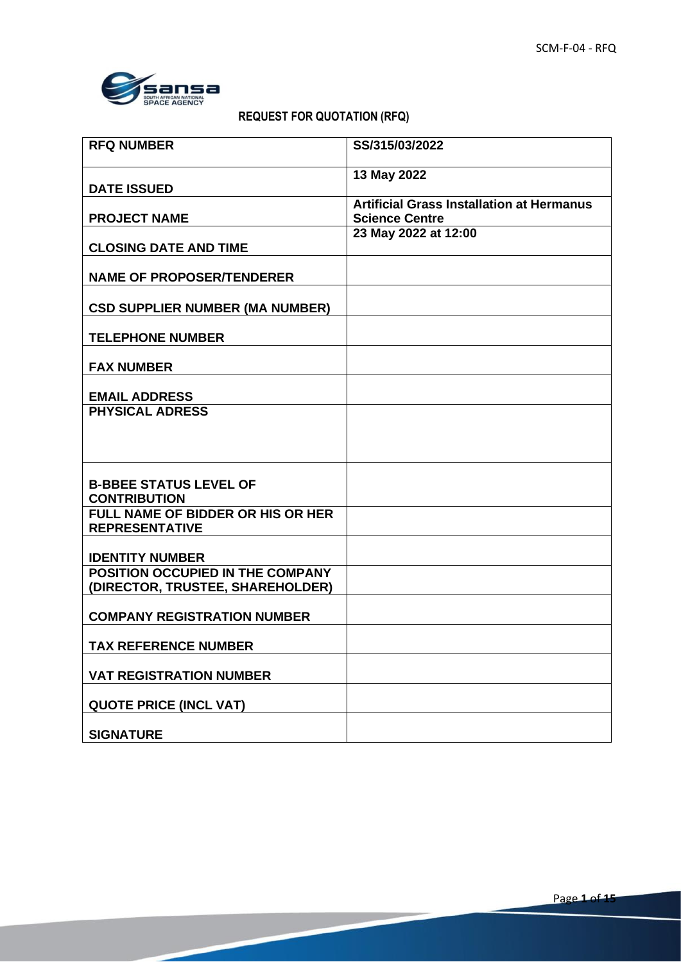

# **REQUEST FOR QUOTATION (RFQ)**

| <b>RFQ NUMBER</b>                        | SS/315/03/2022                                   |
|------------------------------------------|--------------------------------------------------|
| <b>DATE ISSUED</b>                       | 13 May 2022                                      |
|                                          | <b>Artificial Grass Installation at Hermanus</b> |
| <b>PROJECT NAME</b>                      | <b>Science Centre</b>                            |
|                                          | 23 May 2022 at 12:00                             |
| <b>CLOSING DATE AND TIME</b>             |                                                  |
| <b>NAME OF PROPOSER/TENDERER</b>         |                                                  |
|                                          |                                                  |
| <b>CSD SUPPLIER NUMBER (MA NUMBER)</b>   |                                                  |
| <b>TELEPHONE NUMBER</b>                  |                                                  |
| <b>FAX NUMBER</b>                        |                                                  |
|                                          |                                                  |
| <b>EMAIL ADDRESS</b>                     |                                                  |
| <b>PHYSICAL ADRESS</b>                   |                                                  |
|                                          |                                                  |
|                                          |                                                  |
|                                          |                                                  |
|                                          |                                                  |
| <b>B-BBEE STATUS LEVEL OF</b>            |                                                  |
| <b>CONTRIBUTION</b>                      |                                                  |
| <b>FULL NAME OF BIDDER OR HIS OR HER</b> |                                                  |
| <b>REPRESENTATIVE</b>                    |                                                  |
| <b>IDENTITY NUMBER</b>                   |                                                  |
| POSITION OCCUPIED IN THE COMPANY         |                                                  |
| (DIRECTOR, TRUSTEE, SHAREHOLDER)         |                                                  |
|                                          |                                                  |
| <b>COMPANY REGISTRATION NUMBER</b>       |                                                  |
|                                          |                                                  |
| <b>TAX REFERENCE NUMBER</b>              |                                                  |
| <b>VAT REGISTRATION NUMBER</b>           |                                                  |
| <b>QUOTE PRICE (INCL VAT)</b>            |                                                  |
|                                          |                                                  |
| <b>SIGNATURE</b>                         |                                                  |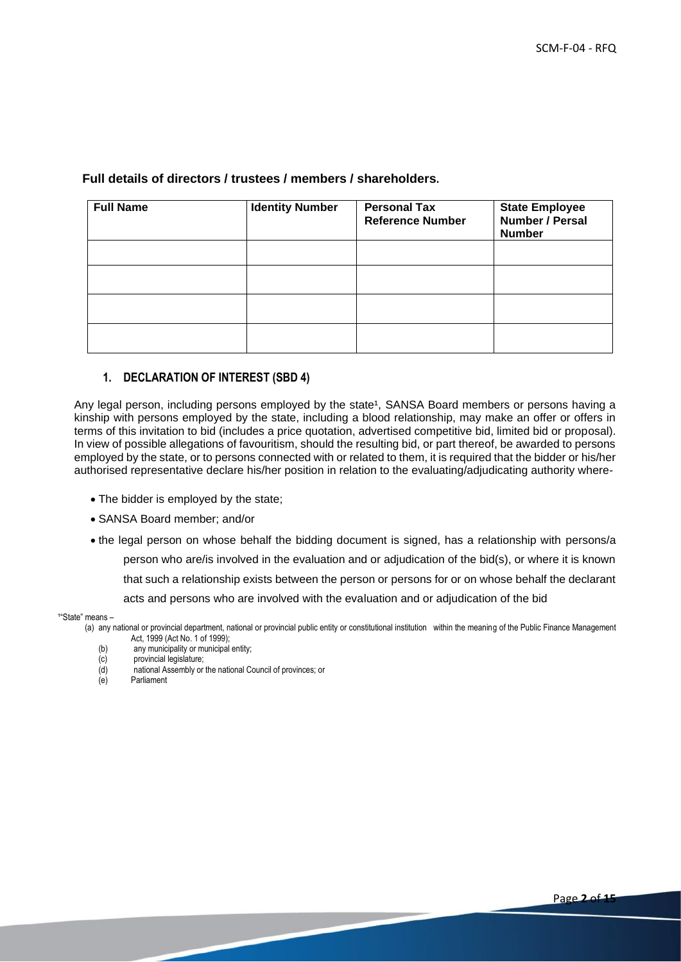## **Full details of directors / trustees / members / shareholders.**

| <b>Full Name</b> | <b>Identity Number</b> | <b>Personal Tax</b><br><b>Reference Number</b> | <b>State Employee</b><br>Number / Persal<br><b>Number</b> |
|------------------|------------------------|------------------------------------------------|-----------------------------------------------------------|
|                  |                        |                                                |                                                           |
|                  |                        |                                                |                                                           |
|                  |                        |                                                |                                                           |
|                  |                        |                                                |                                                           |

#### **1. DECLARATION OF INTEREST (SBD 4)**

Any legal person, including persons employed by the state<sup>1</sup>, SANSA Board members or persons having a kinship with persons employed by the state, including a blood relationship, may make an offer or offers in terms of this invitation to bid (includes a price quotation, advertised competitive bid, limited bid or proposal). In view of possible allegations of favouritism, should the resulting bid, or part thereof, be awarded to persons employed by the state, or to persons connected with or related to them, it is required that the bidder or his/her authorised representative declare his/her position in relation to the evaluating/adjudicating authority where-

- The bidder is employed by the state;
- SANSA Board member; and/or
- the legal person on whose behalf the bidding document is signed, has a relationship with persons/a

person who are/is involved in the evaluation and or adjudication of the bid(s), or where it is known

that such a relationship exists between the person or persons for or on whose behalf the declarant

acts and persons who are involved with the evaluation and or adjudication of the bid

<sup>1</sup>"State" means –

- (a) any national or provincial department, national or provincial public entity or constitutional institution within the meaning of the Public Finance Management Act, 1999 (Act No. 1 of 1999);
	- (b) any municipality or municipal entity;
	- (c) provincial legislature;
	- (d) national Assembly or the national Council of provinces; or
	- Parliament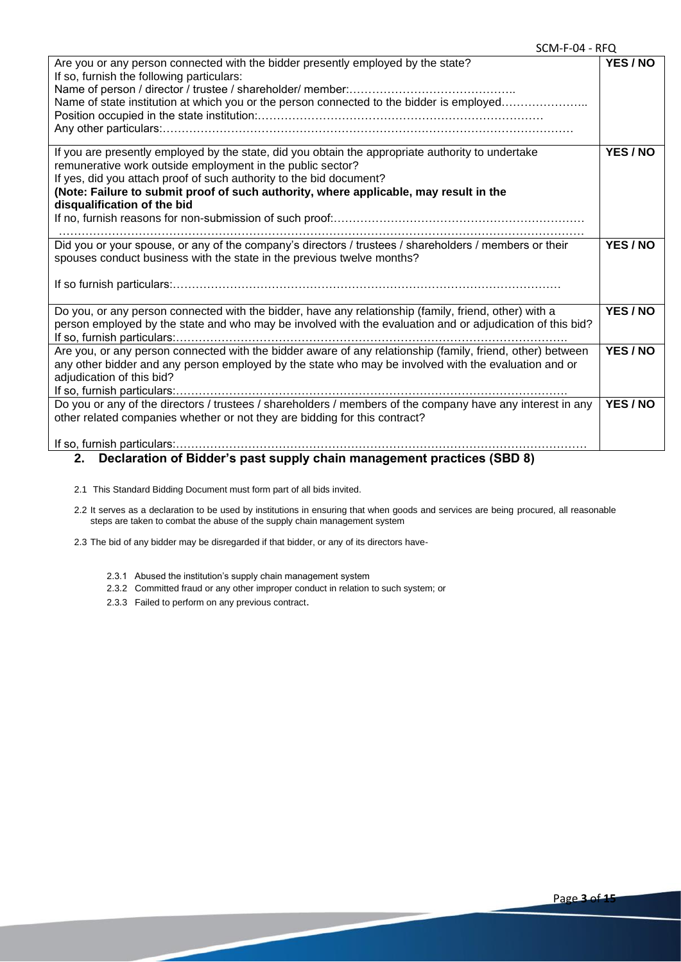$SCMA-E-<sub>0</sub>A - <sub>RE</sub>$ 

| Are you or any person connected with the bidder presently employed by the state?                                                                                                                                                                                                                                                                               |          |
|----------------------------------------------------------------------------------------------------------------------------------------------------------------------------------------------------------------------------------------------------------------------------------------------------------------------------------------------------------------|----------|
| If so, furnish the following particulars:                                                                                                                                                                                                                                                                                                                      | YES/NO   |
| Name of state institution at which you or the person connected to the bidder is employed                                                                                                                                                                                                                                                                       |          |
| If you are presently employed by the state, did you obtain the appropriate authority to undertake<br>remunerative work outside employment in the public sector?<br>If yes, did you attach proof of such authority to the bid document?<br>(Note: Failure to submit proof of such authority, where applicable, may result in the<br>disqualification of the bid | YES/NO   |
|                                                                                                                                                                                                                                                                                                                                                                |          |
| Did you or your spouse, or any of the company's directors / trustees / shareholders / members or their<br>spouses conduct business with the state in the previous twelve months?                                                                                                                                                                               | YES/NO   |
| Do you, or any person connected with the bidder, have any relationship (family, friend, other) with a<br>person employed by the state and who may be involved with the evaluation and or adjudication of this bid?                                                                                                                                             | YES/NO   |
| Are you, or any person connected with the bidder aware of any relationship (family, friend, other) between                                                                                                                                                                                                                                                     | YES / NO |
| any other bidder and any person employed by the state who may be involved with the evaluation and or<br>adjudication of this bid?                                                                                                                                                                                                                              |          |
| Do you or any of the directors / trustees / shareholders / members of the company have any interest in any<br>other related companies whether or not they are bidding for this contract?                                                                                                                                                                       | YES/NO   |

2.1 This Standard Bidding Document must form part of all bids invited.

2.2 It serves as a declaration to be used by institutions in ensuring that when goods and services are being procured, all reasonable steps are taken to combat the abuse of the supply chain management system

2.3 The bid of any bidder may be disregarded if that bidder, or any of its directors have-

- 2.3.1 Abused the institution's supply chain management system
- 2.3.2 Committed fraud or any other improper conduct in relation to such system; or
- 2.3.3 Failed to perform on any previous contract.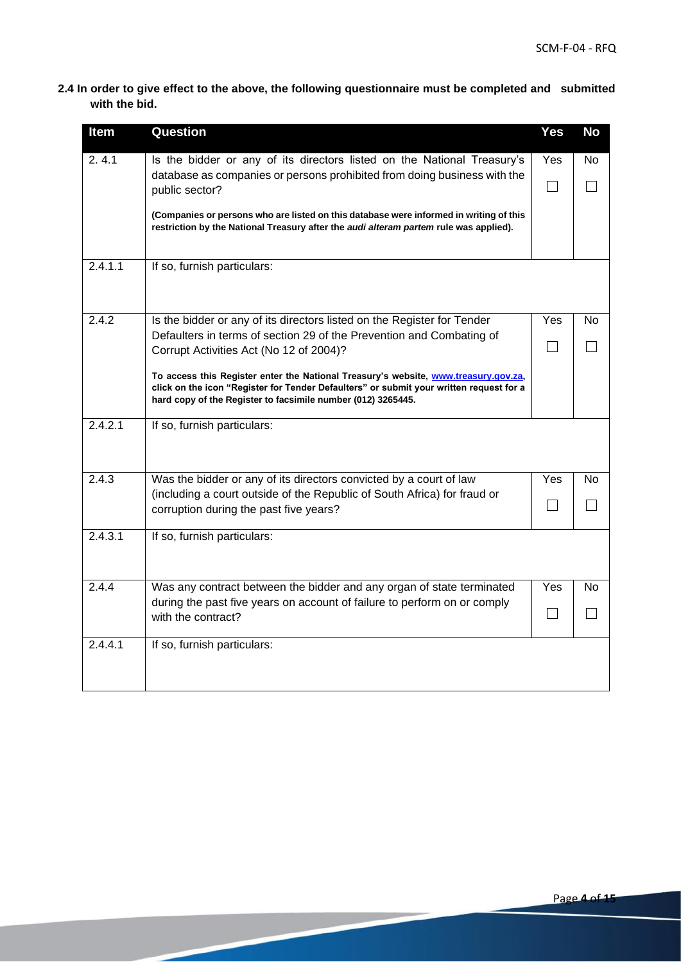**2.4 In order to give effect to the above, the following questionnaire must be completed and submitted with the bid.**

| <b>Item</b> | Question                                                                                                                                                                                                                                       | <b>Yes</b> | <b>No</b>    |
|-------------|------------------------------------------------------------------------------------------------------------------------------------------------------------------------------------------------------------------------------------------------|------------|--------------|
| 2.4.1       | Is the bidder or any of its directors listed on the National Treasury's                                                                                                                                                                        | Yes        | No.          |
|             | database as companies or persons prohibited from doing business with the<br>public sector?                                                                                                                                                     | $\Box$     | $\mathsf{L}$ |
|             | (Companies or persons who are listed on this database were informed in writing of this<br>restriction by the National Treasury after the <i>audi alteram partem</i> rule was applied).                                                         |            |              |
| 2.4.1.1     | If so, furnish particulars:                                                                                                                                                                                                                    |            |              |
| 2.4.2       | Is the bidder or any of its directors listed on the Register for Tender                                                                                                                                                                        | Yes        | No           |
|             | Defaulters in terms of section 29 of the Prevention and Combating of<br>Corrupt Activities Act (No 12 of 2004)?                                                                                                                                |            |              |
|             | To access this Register enter the National Treasury's website, www.treasury.gov.za,<br>click on the icon "Register for Tender Defaulters" or submit your written request for a<br>hard copy of the Register to facsimile number (012) 3265445. |            |              |
| 2.4.2.1     | If so, furnish particulars:                                                                                                                                                                                                                    |            |              |
| 2.4.3       | Was the bidder or any of its directors convicted by a court of law                                                                                                                                                                             | Yes        | No           |
|             | (including a court outside of the Republic of South Africa) for fraud or<br>corruption during the past five years?                                                                                                                             |            |              |
| 2.4.3.1     | If so, furnish particulars:                                                                                                                                                                                                                    |            |              |
| 2.4.4       | Was any contract between the bidder and any organ of state terminated                                                                                                                                                                          | Yes        | No           |
|             | during the past five years on account of failure to perform on or comply<br>with the contract?                                                                                                                                                 | $\Box$     | $\mathsf{L}$ |
| 2.4.4.1     | If so, furnish particulars:                                                                                                                                                                                                                    |            |              |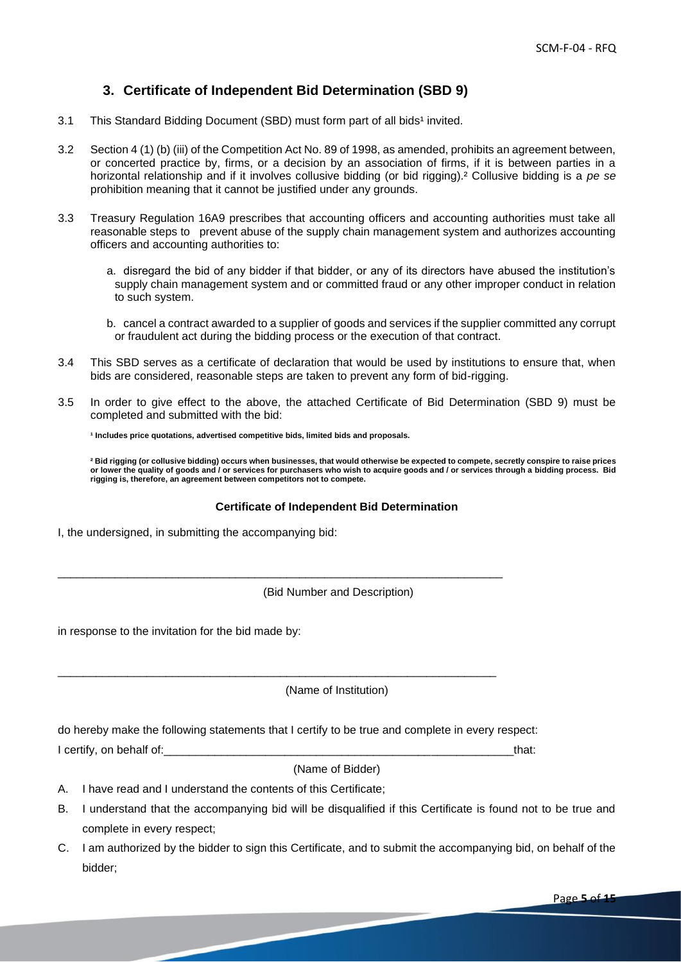# **3. Certificate of Independent Bid Determination (SBD 9)**

- 3.1 This Standard Bidding Document (SBD) must form part of all bids<sup>1</sup> invited.
- 3.2 Section 4 (1) (b) (iii) of the Competition Act No. 89 of 1998, as amended, prohibits an agreement between, or concerted practice by, firms, or a decision by an association of firms, if it is between parties in a horizontal relationship and if it involves collusive bidding (or bid rigging).² Collusive bidding is a *pe se* prohibition meaning that it cannot be justified under any grounds.
- 3.3 Treasury Regulation 16A9 prescribes that accounting officers and accounting authorities must take all reasonable steps to prevent abuse of the supply chain management system and authorizes accounting officers and accounting authorities to:
	- a. disregard the bid of any bidder if that bidder, or any of its directors have abused the institution's supply chain management system and or committed fraud or any other improper conduct in relation to such system.
	- b. cancel a contract awarded to a supplier of goods and services if the supplier committed any corrupt or fraudulent act during the bidding process or the execution of that contract.
- 3.4 This SBD serves as a certificate of declaration that would be used by institutions to ensure that, when bids are considered, reasonable steps are taken to prevent any form of bid-rigging.
- 3.5 In order to give effect to the above, the attached Certificate of Bid Determination (SBD 9) must be completed and submitted with the bid:

<sup>1</sup> Includes price quotations, advertised competitive bids, limited bids and proposals.

**² Bid rigging (or collusive bidding) occurs when businesses, that would otherwise be expected to compete, secretly conspire to raise prices or lower the quality of goods and / or services for purchasers who wish to acquire goods and / or services through a bidding process. Bid rigging is, therefore, an agreement between competitors not to compete.**

#### **Certificate of Independent Bid Determination**

I, the undersigned, in submitting the accompanying bid:

(Bid Number and Description)

in response to the invitation for the bid made by:

(Name of Institution)

do hereby make the following statements that I certify to be true and complete in every respect: I certify, on behalf of:  $\blacksquare$ 

\_\_\_\_\_\_\_\_\_\_\_\_\_\_\_\_\_\_\_\_\_\_\_\_\_\_\_\_\_\_\_\_\_\_\_\_\_\_\_\_\_\_\_\_\_\_\_\_\_\_\_\_\_\_\_\_\_\_\_\_\_\_\_\_\_\_\_\_\_\_

\_\_\_\_\_\_\_\_\_\_\_\_\_\_\_\_\_\_\_\_\_\_\_\_\_\_\_\_\_\_\_\_\_\_\_\_\_\_\_\_\_\_\_\_\_\_\_\_\_\_\_\_\_\_\_\_\_\_\_\_\_\_\_\_\_\_\_\_\_

(Name of Bidder)

- A. I have read and I understand the contents of this Certificate;
- B. I understand that the accompanying bid will be disqualified if this Certificate is found not to be true and complete in every respect;
- C. I am authorized by the bidder to sign this Certificate, and to submit the accompanying bid, on behalf of the bidder;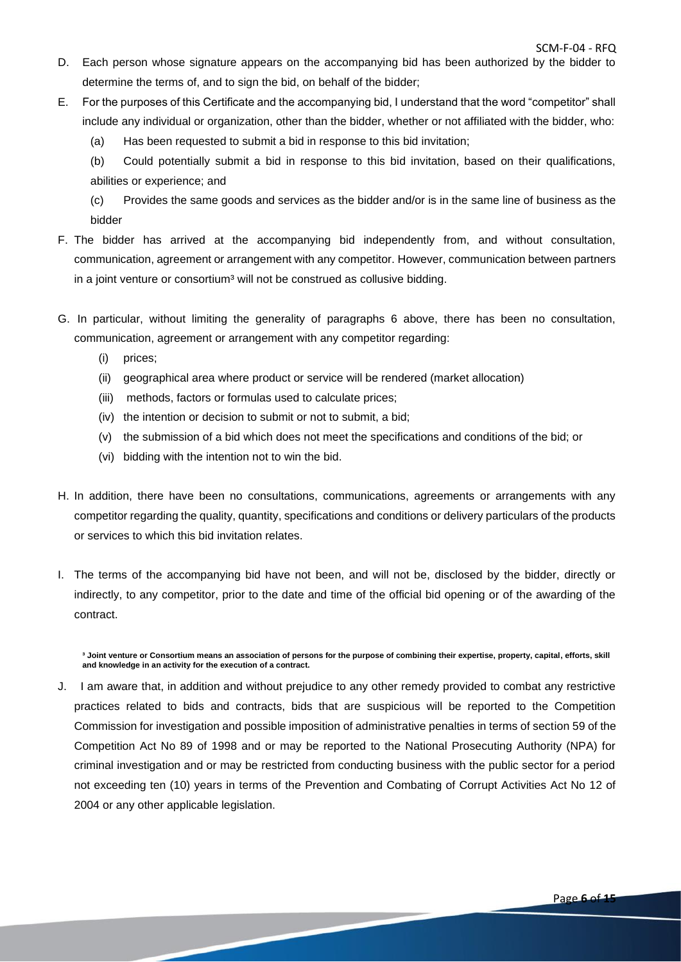- D. Each person whose signature appears on the accompanying bid has been authorized by the bidder to determine the terms of, and to sign the bid, on behalf of the bidder;
- E. For the purposes of this Certificate and the accompanying bid, I understand that the word "competitor" shall include any individual or organization, other than the bidder, whether or not affiliated with the bidder, who:
	- (a) Has been requested to submit a bid in response to this bid invitation;
	- (b) Could potentially submit a bid in response to this bid invitation, based on their qualifications, abilities or experience; and
	- (c) Provides the same goods and services as the bidder and/or is in the same line of business as the bidder
- F. The bidder has arrived at the accompanying bid independently from, and without consultation, communication, agreement or arrangement with any competitor. However, communication between partners in a joint venture or consortium<sup>3</sup> will not be construed as collusive bidding.
- G. In particular, without limiting the generality of paragraphs 6 above, there has been no consultation, communication, agreement or arrangement with any competitor regarding:
	- (i) prices;
	- (ii) geographical area where product or service will be rendered (market allocation)
	- (iii) methods, factors or formulas used to calculate prices;
	- (iv) the intention or decision to submit or not to submit, a bid;
	- (v) the submission of a bid which does not meet the specifications and conditions of the bid; or
	- (vi) bidding with the intention not to win the bid.
- H. In addition, there have been no consultations, communications, agreements or arrangements with any competitor regarding the quality, quantity, specifications and conditions or delivery particulars of the products or services to which this bid invitation relates.
- I. The terms of the accompanying bid have not been, and will not be, disclosed by the bidder, directly or indirectly, to any competitor, prior to the date and time of the official bid opening or of the awarding of the contract.

**³ Joint venture or Consortium means an association of persons for the purpose of combining their expertise, property, capital, efforts, skill and knowledge in an activity for the execution of a contract.**

J. I am aware that, in addition and without prejudice to any other remedy provided to combat any restrictive practices related to bids and contracts, bids that are suspicious will be reported to the Competition Commission for investigation and possible imposition of administrative penalties in terms of section 59 of the Competition Act No 89 of 1998 and or may be reported to the National Prosecuting Authority (NPA) for criminal investigation and or may be restricted from conducting business with the public sector for a period not exceeding ten (10) years in terms of the Prevention and Combating of Corrupt Activities Act No 12 of 2004 or any other applicable legislation.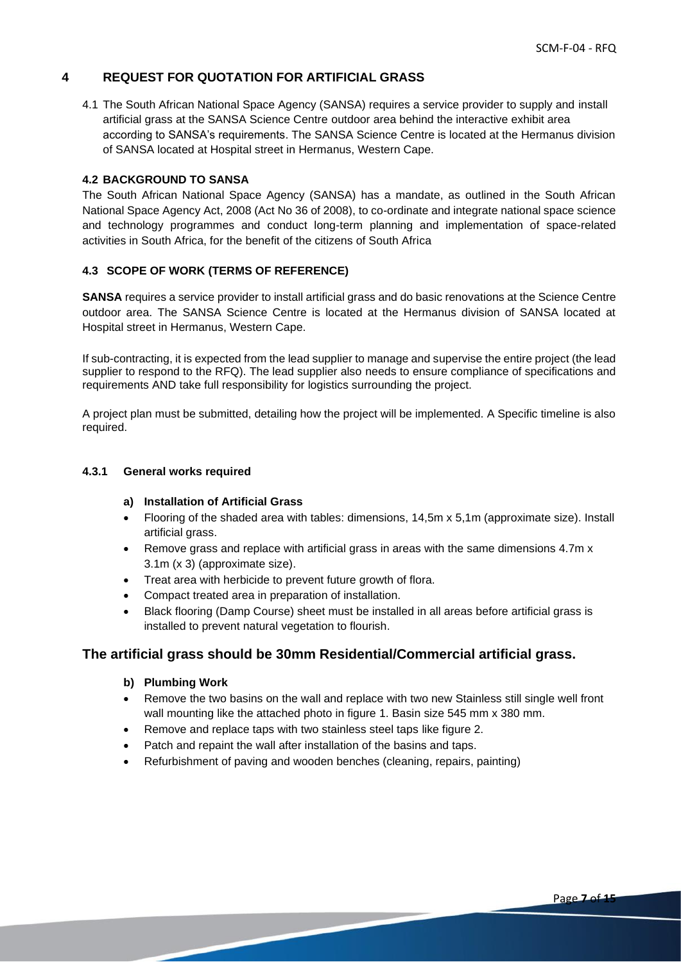# **4 REQUEST FOR QUOTATION FOR ARTIFICIAL GRASS**

4.1 The South African National Space Agency (SANSA) requires a service provider to supply and install artificial grass at the SANSA Science Centre outdoor area behind the interactive exhibit area according to SANSA's requirements. The SANSA Science Centre is located at the Hermanus division of SANSA located at Hospital street in Hermanus, Western Cape.

### **4.2 BACKGROUND TO SANSA**

The South African National Space Agency (SANSA) has a mandate, as outlined in the South African National Space Agency Act, 2008 (Act No 36 of 2008), to co-ordinate and integrate national space science and technology programmes and conduct long-term planning and implementation of space-related activities in South Africa, for the benefit of the citizens of South Africa

### **4.3 SCOPE OF WORK (TERMS OF REFERENCE)**

**SANSA** requires a service provider to install artificial grass and do basic renovations at the Science Centre outdoor area. The SANSA Science Centre is located at the Hermanus division of SANSA located at Hospital street in Hermanus, Western Cape.

If sub-contracting, it is expected from the lead supplier to manage and supervise the entire project (the lead supplier to respond to the RFQ). The lead supplier also needs to ensure compliance of specifications and requirements AND take full responsibility for logistics surrounding the project.

A project plan must be submitted, detailing how the project will be implemented. A Specific timeline is also required.

#### **4.3.1 General works required**

#### **a) Installation of Artificial Grass**

- Flooring of the shaded area with tables: dimensions, 14,5m x 5,1m (approximate size). Install artificial grass.
- Remove grass and replace with artificial grass in areas with the same dimensions 4.7m x 3.1m (x 3) (approximate size).
- Treat area with herbicide to prevent future growth of flora.
- Compact treated area in preparation of installation.
- Black flooring (Damp Course) sheet must be installed in all areas before artificial grass is installed to prevent natural vegetation to flourish.

# **The artificial grass should be 30mm Residential/Commercial artificial grass.**

### **b) Plumbing Work**

- Remove the two basins on the wall and replace with two new Stainless still single well front wall mounting like the attached photo in figure 1. Basin size 545 mm x 380 mm.
- Remove and replace taps with two stainless steel taps like figure 2.
- Patch and repaint the wall after installation of the basins and taps.
- Refurbishment of paving and wooden benches (cleaning, repairs, painting)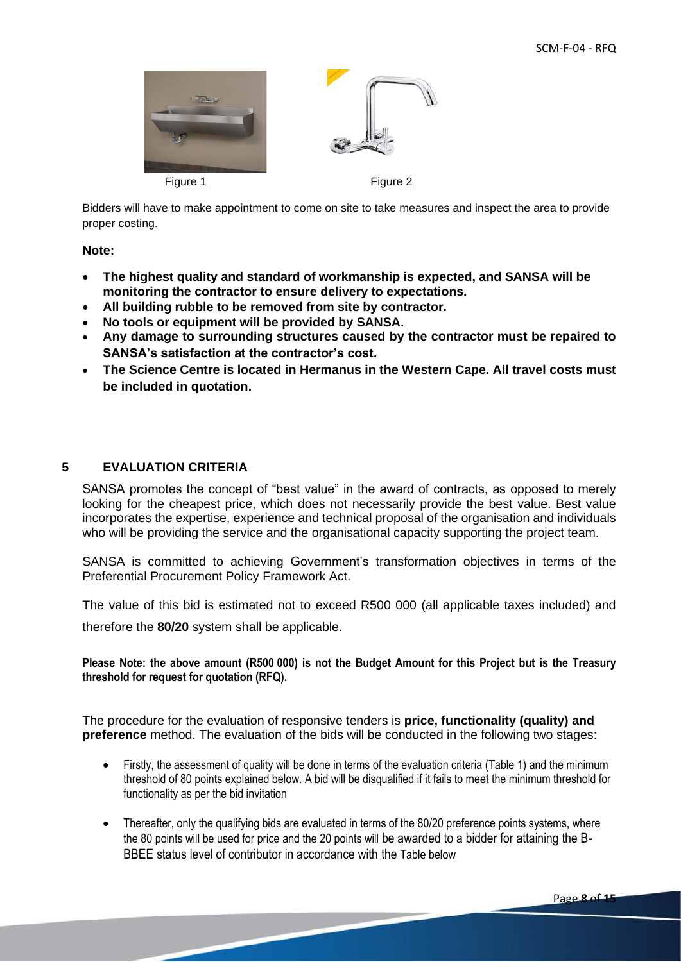



Bidders will have to make appointment to come on site to take measures and inspect the area to provide proper costing.

## **Note:**

- **The highest quality and standard of workmanship is expected, and SANSA will be monitoring the contractor to ensure delivery to expectations.**
- **All building rubble to be removed from site by contractor.**
- **No tools or equipment will be provided by SANSA.**
- **Any damage to surrounding structures caused by the contractor must be repaired to SANSA's satisfaction at the contractor's cost.**
- **The Science Centre is located in Hermanus in the Western Cape. All travel costs must be included in quotation.**

# **5 EVALUATION CRITERIA**

SANSA promotes the concept of "best value" in the award of contracts, as opposed to merely looking for the cheapest price, which does not necessarily provide the best value. Best value incorporates the expertise, experience and technical proposal of the organisation and individuals who will be providing the service and the organisational capacity supporting the project team.

SANSA is committed to achieving Government's transformation objectives in terms of the Preferential Procurement Policy Framework Act.

The value of this bid is estimated not to exceed R500 000 (all applicable taxes included) and

therefore the **80/20** system shall be applicable.

**Please Note: the above amount (R500 000) is not the Budget Amount for this Project but is the Treasury threshold for request for quotation (RFQ).**

The procedure for the evaluation of responsive tenders is **price, functionality (quality) and preference** method. The evaluation of the bids will be conducted in the following two stages:

- Firstly, the assessment of quality will be done in terms of the evaluation criteria (Table 1) and the minimum threshold of 80 points explained below. A bid will be disqualified if it fails to meet the minimum threshold for functionality as per the bid invitation
- Thereafter, only the qualifying bids are evaluated in terms of the 80/20 preference points systems, where the 80 points will be used for price and the 20 points will be awarded to a bidder for attaining the B-BBEE status level of contributor in accordance with the Table below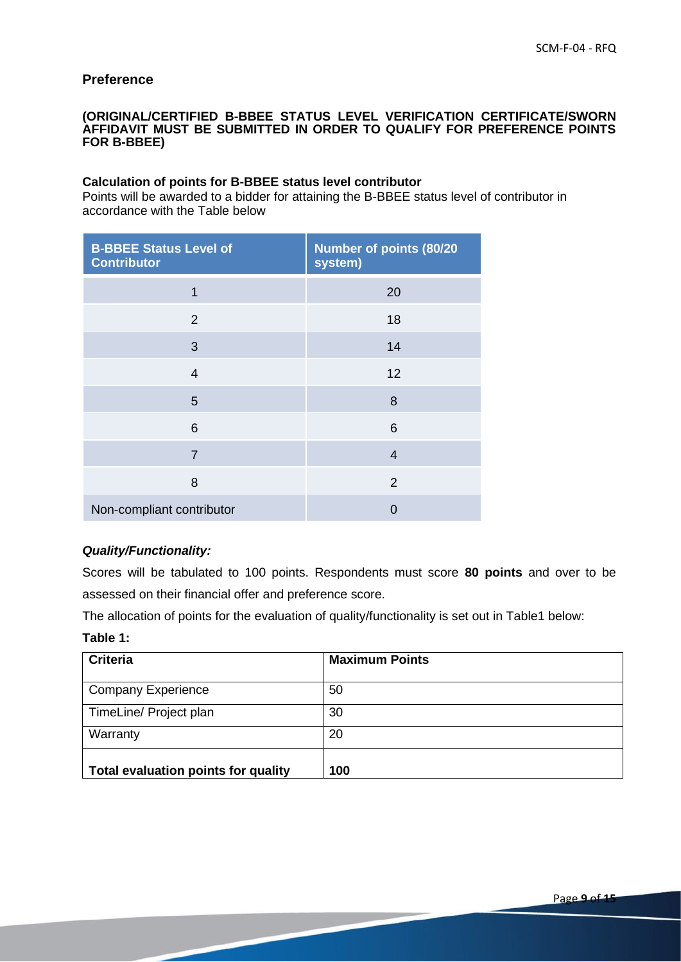# **Preference**

#### **(ORIGINAL/CERTIFIED B-BBEE STATUS LEVEL VERIFICATION CERTIFICATE/SWORN AFFIDAVIT MUST BE SUBMITTED IN ORDER TO QUALIFY FOR PREFERENCE POINTS FOR B-BBEE)**

### **Calculation of points for B-BBEE status level contributor**

Points will be awarded to a bidder for attaining the B-BBEE status level of contributor in accordance with the Table below

| <b>B-BBEE Status Level of</b><br><b>Contributor</b> | <b>Number of points (80/20</b><br>system) |
|-----------------------------------------------------|-------------------------------------------|
| 1                                                   | 20                                        |
| 2                                                   | 18                                        |
| 3                                                   | 14                                        |
| $\overline{4}$                                      | 12                                        |
| 5                                                   | 8                                         |
| 6                                                   | 6                                         |
| $\overline{7}$                                      | 4                                         |
| 8                                                   | $\overline{2}$                            |
| Non-compliant contributor                           | 0                                         |

## *Quality/Functionality:*

Scores will be tabulated to 100 points. Respondents must score **80 points** and over to be assessed on their financial offer and preference score.

The allocation of points for the evaluation of quality/functionality is set out in Table1 below:

## **Table 1:**

| <b>Criteria</b>                     | <b>Maximum Points</b> |
|-------------------------------------|-----------------------|
| <b>Company Experience</b>           | 50                    |
| TimeLine/ Project plan              | 30                    |
| Warranty                            | 20                    |
| Total evaluation points for quality | 100                   |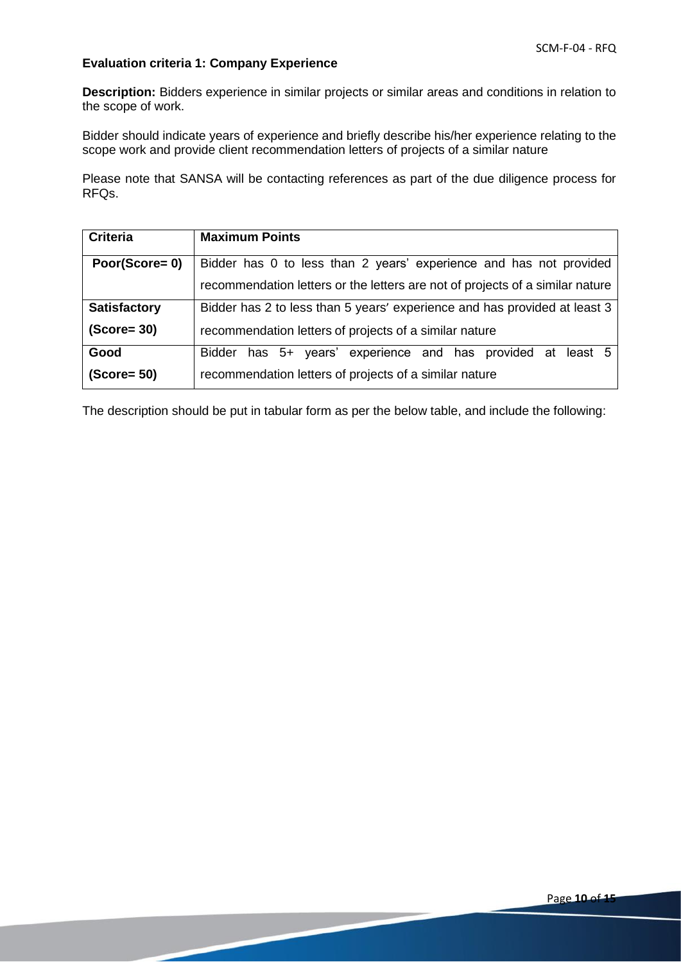# **Evaluation criteria 1: Company Experience**

**Description:** Bidders experience in similar projects or similar areas and conditions in relation to the scope of work.

Bidder should indicate years of experience and briefly describe his/her experience relating to the scope work and provide client recommendation letters of projects of a similar nature

Please note that SANSA will be contacting references as part of the due diligence process for RFQs.

| <b>Criteria</b>     | <b>Maximum Points</b>                                                         |  |  |
|---------------------|-------------------------------------------------------------------------------|--|--|
| Poor(Score= 0)      | Bidder has 0 to less than 2 years' experience and has not provided            |  |  |
|                     | recommendation letters or the letters are not of projects of a similar nature |  |  |
| <b>Satisfactory</b> | Bidder has 2 to less than 5 years' experience and has provided at least 3     |  |  |
| $(Score = 30)$      | recommendation letters of projects of a similar nature                        |  |  |
| Good                | has 5+ years' experience and has provided at least 5<br><b>Bidder</b>         |  |  |
| $(Score=50)$        | recommendation letters of projects of a similar nature                        |  |  |

The description should be put in tabular form as per the below table, and include the following: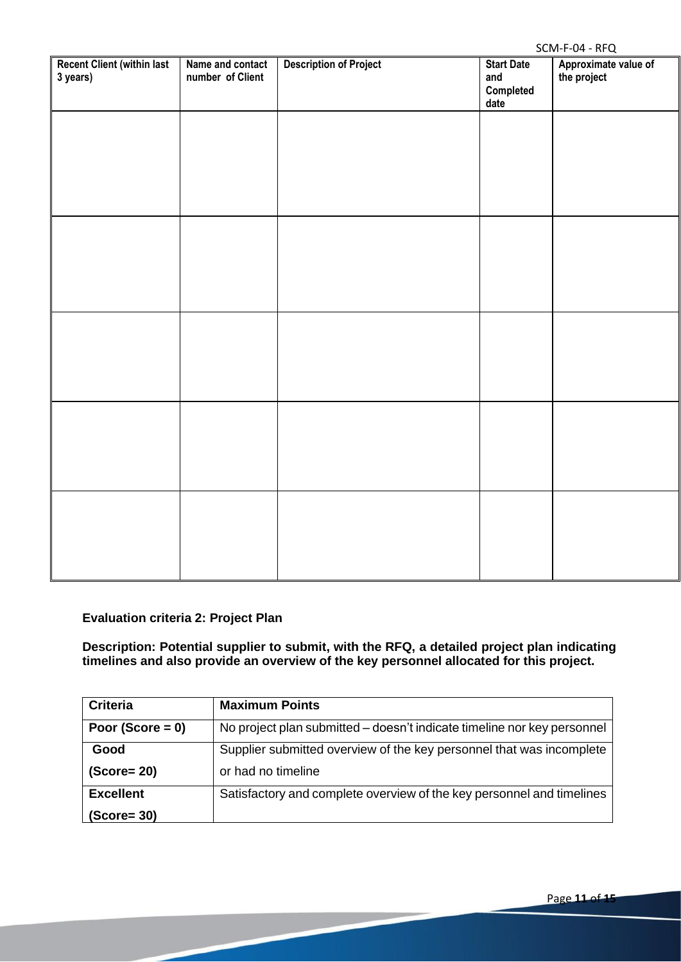$SCMA-E-<sub>0</sub>A - <sub>RE</sub>$ 

| Recent Client (within last<br>3 years) | Name and contact<br>number of Client | <b>Description of Project</b> | <b>Start Date</b><br>and<br>Completed<br>date | J<br>Approximate value of<br>the project |
|----------------------------------------|--------------------------------------|-------------------------------|-----------------------------------------------|------------------------------------------|
|                                        |                                      |                               |                                               |                                          |
|                                        |                                      |                               |                                               |                                          |
|                                        |                                      |                               |                                               |                                          |
|                                        |                                      |                               |                                               |                                          |
|                                        |                                      |                               |                                               |                                          |
|                                        |                                      |                               |                                               |                                          |
|                                        |                                      |                               |                                               |                                          |
|                                        |                                      |                               |                                               |                                          |
|                                        |                                      |                               |                                               |                                          |

**Evaluation criteria 2: Project Plan**

**Description: Potential supplier to submit, with the RFQ, a detailed project plan indicating timelines and also provide an overview of the key personnel allocated for this project.**

| <b>Criteria</b>     | <b>Maximum Points</b>                                                   |
|---------------------|-------------------------------------------------------------------------|
| Poor (Score = $0$ ) | No project plan submitted – doesn't indicate timeline nor key personnel |
| Good                | Supplier submitted overview of the key personnel that was incomplete    |
| $(Score = 20)$      | or had no timeline                                                      |
| <b>Excellent</b>    | Satisfactory and complete overview of the key personnel and timelines   |
| $(Score = 30)$      |                                                                         |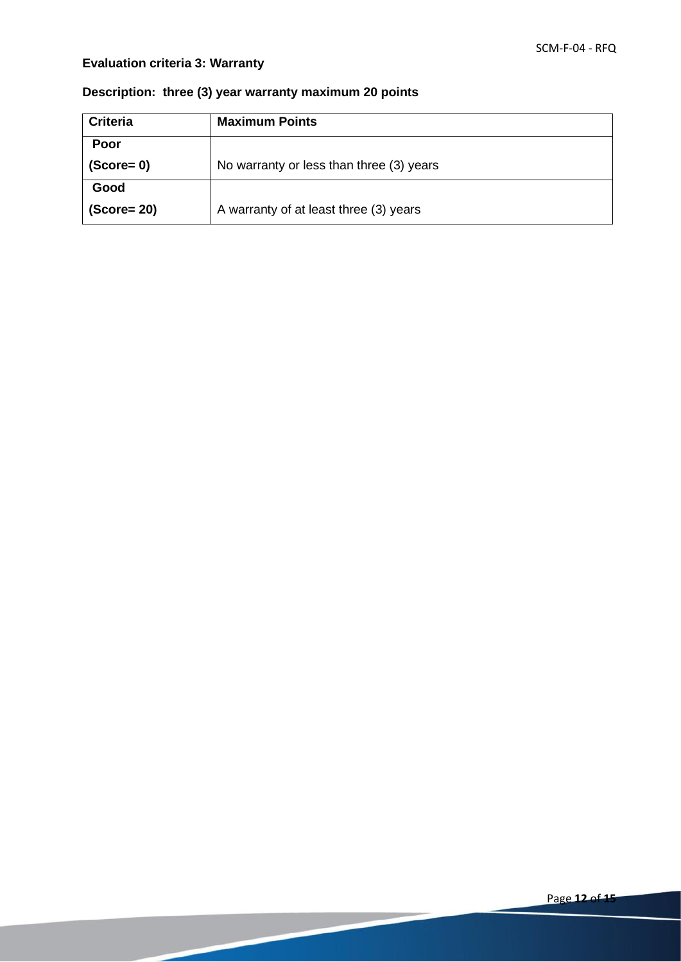# **Evaluation criteria 3: Warranty**

| <b>Criteria</b> | <b>Maximum Points</b>                    |
|-----------------|------------------------------------------|
| Poor            |                                          |
| $(Score=0)$     | No warranty or less than three (3) years |
| Good            |                                          |
| $(Score = 20)$  | A warranty of at least three (3) years   |

# **Description: three (3) year warranty maximum 20 points**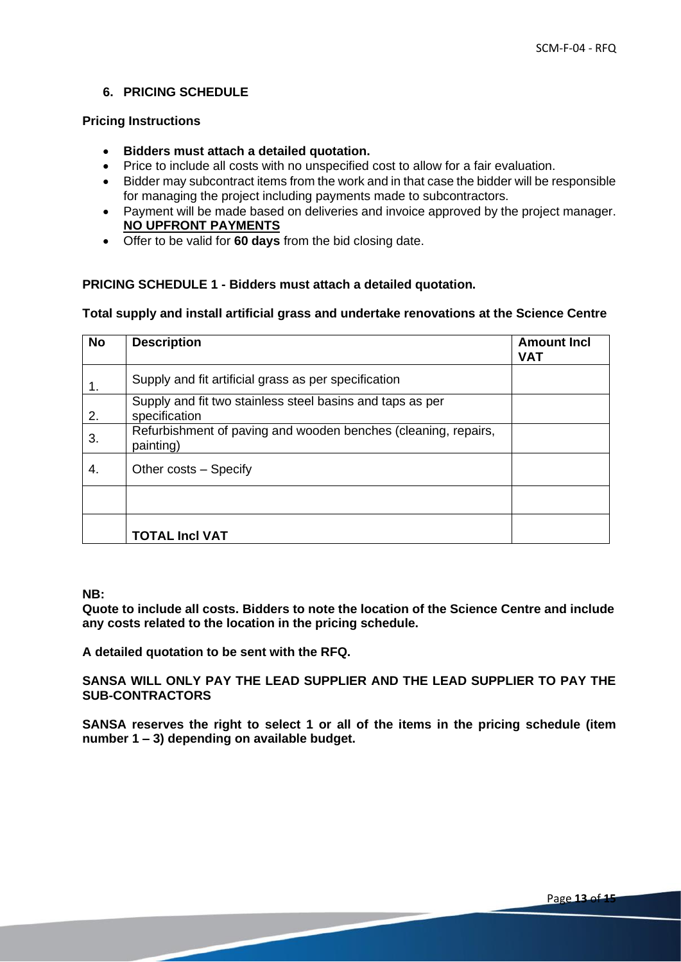# **6. PRICING SCHEDULE**

#### **Pricing Instructions**

- **Bidders must attach a detailed quotation.**
- Price to include all costs with no unspecified cost to allow for a fair evaluation.
- Bidder may subcontract items from the work and in that case the bidder will be responsible for managing the project including payments made to subcontractors.
- Payment will be made based on deliveries and invoice approved by the project manager. **NO UPFRONT PAYMENTS**
- Offer to be valid for **60 days** from the bid closing date.

# **PRICING SCHEDULE 1 - Bidders must attach a detailed quotation.**

## **Total supply and install artificial grass and undertake renovations at the Science Centre**

| <b>No</b> | <b>Description</b>                                                          | <b>Amount Incl</b><br><b>VAT</b> |
|-----------|-----------------------------------------------------------------------------|----------------------------------|
|           | Supply and fit artificial grass as per specification                        |                                  |
| 2.        | Supply and fit two stainless steel basins and taps as per<br>specification  |                                  |
| 3.        | Refurbishment of paving and wooden benches (cleaning, repairs,<br>painting) |                                  |
| 4.        | Other costs - Specify                                                       |                                  |
|           |                                                                             |                                  |
|           | <b>TOTAL Incl VAT</b>                                                       |                                  |

# **NB:**

**Quote to include all costs. Bidders to note the location of the Science Centre and include any costs related to the location in the pricing schedule.** 

**A detailed quotation to be sent with the RFQ.**

**SANSA WILL ONLY PAY THE LEAD SUPPLIER AND THE LEAD SUPPLIER TO PAY THE SUB-CONTRACTORS**

**SANSA reserves the right to select 1 or all of the items in the pricing schedule (item number 1 – 3) depending on available budget.**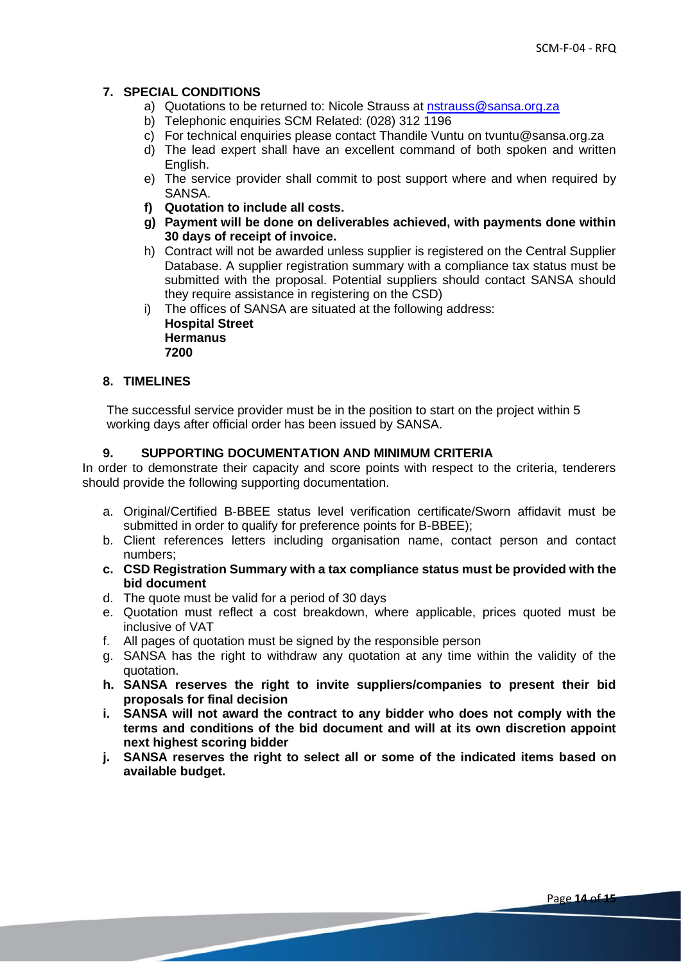# **7. SPECIAL CONDITIONS**

- a) Quotations to be returned to: Nicole Strauss at [nstrauss@sansa.org.za](mailto:nstrauss@sansa.org.za)
- b) Telephonic enquiries SCM Related: (028) 312 1196
- c) For technical enquiries please contact Thandile Vuntu on tvuntu@sansa.org.za
- d) The lead expert shall have an excellent command of both spoken and written English.
- e) The service provider shall commit to post support where and when required by SANSA.
- **f) Quotation to include all costs.**
- **g) Payment will be done on deliverables achieved, with payments done within 30 days of receipt of invoice.**
- h) Contract will not be awarded unless supplier is registered on the Central Supplier Database. A supplier registration summary with a compliance tax status must be submitted with the proposal. Potential suppliers should contact SANSA should they require assistance in registering on the CSD)
- i) The offices of SANSA are situated at the following address: **Hospital Street Hermanus 7200**

## **8. TIMELINES**

The successful service provider must be in the position to start on the project within 5 working days after official order has been issued by SANSA.

### **9. SUPPORTING DOCUMENTATION AND MINIMUM CRITERIA**

In order to demonstrate their capacity and score points with respect to the criteria, tenderers should provide the following supporting documentation.

- a. Original/Certified B-BBEE status level verification certificate/Sworn affidavit must be submitted in order to qualify for preference points for B-BBEE);
- b. Client references letters including organisation name, contact person and contact numbers;
- **c. CSD Registration Summary with a tax compliance status must be provided with the bid document**
- d. The quote must be valid for a period of 30 days
- e. Quotation must reflect a cost breakdown, where applicable, prices quoted must be inclusive of VAT
- f. All pages of quotation must be signed by the responsible person
- g. SANSA has the right to withdraw any quotation at any time within the validity of the quotation.
- **h. SANSA reserves the right to invite suppliers/companies to present their bid proposals for final decision**
- **i. SANSA will not award the contract to any bidder who does not comply with the terms and conditions of the bid document and will at its own discretion appoint next highest scoring bidder**
- **j. SANSA reserves the right to select all or some of the indicated items based on available budget.**